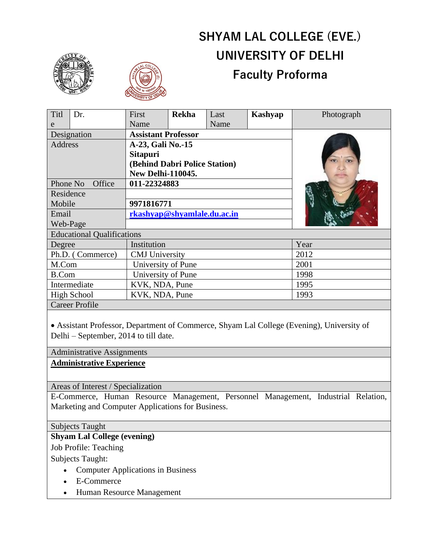# **SHYAM LAL COLLEGE (EVE.) UNIVERSITY OF DELHI Faculty Proforma**

**Kashyap** Photograph



 $T_{\rm it}$   $\ln r$ 



 $\Gamma$ First

| 1 1 U                             | LJI. | 110 <sup>-11</sup>            | леміа | Lasi | лхаэнуар | T HUWEI apli |
|-----------------------------------|------|-------------------------------|-------|------|----------|--------------|
| e                                 |      | Name                          |       | Name |          |              |
| Designation                       |      | <b>Assistant Professor</b>    |       |      |          |              |
| Address                           |      | A-23, Gali No.-15             |       |      |          |              |
|                                   |      | <b>Sitapuri</b>               |       |      |          |              |
|                                   |      | (Behind Dabri Police Station) |       |      |          |              |
|                                   |      | <b>New Delhi-110045.</b>      |       |      |          |              |
| Phone No<br>Office                |      | 011-22324883                  |       |      |          |              |
| Residence                         |      |                               |       |      |          |              |
| Mobile                            |      | 9971816771                    |       |      |          |              |
| Email                             |      | rkashyap@shyamlale.du.ac.in   |       |      |          |              |
| Web-Page                          |      |                               |       |      |          |              |
| <b>Educational Qualifications</b> |      |                               |       |      |          |              |
| Degree                            |      | Institution                   |       |      |          | Year         |
| Ph.D. (Commerce)                  |      | <b>CMJ</b> University         |       |      |          | 2012         |
| M.Com                             |      | University of Pune            |       |      |          | 2001         |
| <b>B.Com</b>                      |      | University of Pune            |       |      |          | 1998         |
| Intermediate                      |      | KVK, NDA, Pune                |       |      |          | 1995         |
| High School                       |      | KVK, NDA, Pune                |       |      |          | 1993         |
| <b>Career Profile</b>             |      |                               |       |      |          |              |

**Rekha** Last

• Assistant Professor, Department of Commerce, Shyam Lal College (Evening), University of Delhi – September, 2014 to till date.

#### Administrative Assignments

## **Administrative Experience**

Areas of Interest / Specialization

E-Commerce, Human Resource Management, Personnel Management, Industrial Relation, Marketing and Computer Applications for Business.

#### Subjects Taught

# **Shyam Lal College (evening)**

Job Profile: Teaching

Subjects Taught:

- Computer Applications in Business
- E-Commerce
- Human Resource Management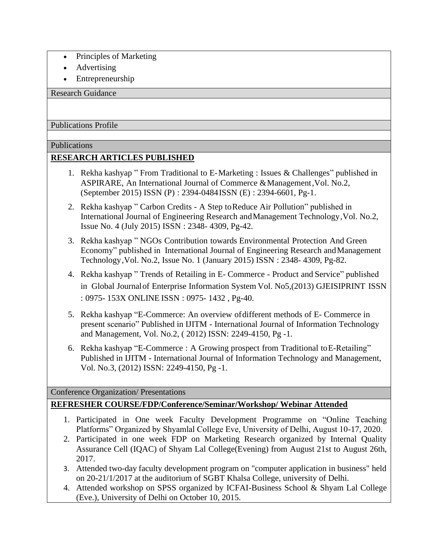- Principles of Marketing
- Advertising
- Entrepreneurship

Research Guidance

Publications Profile

## Publications

# **RESEARCH ARTICLES PUBLISHED**

- 1. Rekha kashyap " From Traditional to E-Marketing : Issues & Challenges" published in ASPIRARE, An International Journal of Commerce & Management, Vol. No.2, (September 2015) ISSN (P) : 2394-0484ISSN (E) : 2394-6601, Pg-1.
- 2. Rekha kashyap " Carbon Credits A Step toReduce Air Pollution" published in International Journal of Engineering Research andManagement Technology, Vol. No.2, Issue No. 4 (July 2015) ISSN : 2348- 4309, Pg-42.
- 3. Rekha kashyap " NGOs Contribution towards Environmental Protection And Green Economy" published in International Journal of Engineering Research andManagement Technology, Vol. No.2, Issue No. 1 (January 2015) ISSN : 2348- 4309, Pg-82.
- 4. Rekha kashyap " Trends of Retailing in E- Commerce Product and Service" published in Global Journalof Enterprise Information System Vol. No5,(2013) GJEISIPRINT ISSN : 0975- 153X ONLINE ISSN : 0975- 1432 , Pg-40.
- 5. Rekha kashyap "E-Commerce: An overview ofdifferent methods of E- Commerce in present scenario" Published in IJITM - International Journal of Information Technology and Management, Vol. No.2, ( 2012) ISSN: 2249-4150, Pg -1.
- 6. Rekha kashyap "E-Commerce : A Growing prospect from Traditional toE-Retailing" Published in IJITM - International Journal of Information Technology and Management, Vol. No.3, (2012) ISSN: 2249-4150, Pg -1.

Conference Organization/ Presentations

# **REFRESHER COURSE/FDP/Conference/Seminar/Workshop/ Webinar Attended**

- 1. Participated in One week Faculty Development Programme on "Online Teaching Platforms" Organized by Shyamlal College Eve, University of Delhi, August 10-17, 2020.
- 2. Participated in one week FDP on Marketing Research organized by Internal Quality Assurance Cell (IQAC) of Shyam Lal College(Evening) from August 21st to August 26th, 2017.
- 3. Attended two-day faculty development program on "computer application in business" held on 20-21/1/2017 at the auditorium of SGBT Khalsa College, university of Delhi.
- 4. Attended workshop on SPSS organized by ICFAI-Business School & Shyam Lal College (Eve.), University of Delhi on October 10, 2015.